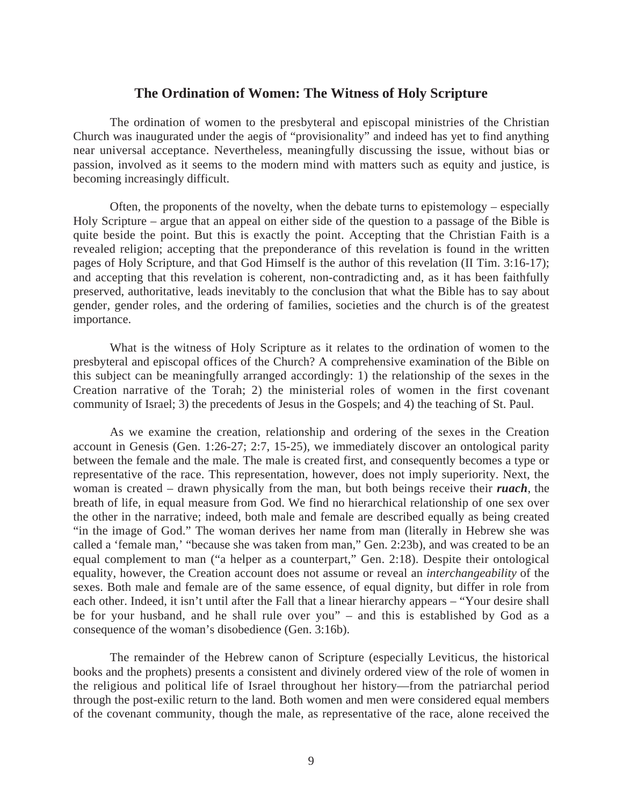## **The Ordination of Women: The Witness of Holy Scripture**

The ordination of women to the presbyteral and episcopal ministries of the Christian Church was inaugurated under the aegis of "provisionality" and indeed has yet to find anything near universal acceptance. Nevertheless, meaningfully discussing the issue, without bias or passion, involved as it seems to the modern mind with matters such as equity and justice, is becoming increasingly difficult.

Often, the proponents of the novelty, when the debate turns to epistemology – especially Holy Scripture – argue that an appeal on either side of the question to a passage of the Bible is quite beside the point. But this is exactly the point. Accepting that the Christian Faith is a revealed religion; accepting that the preponderance of this revelation is found in the written pages of Holy Scripture, and that God Himself is the author of this revelation (II Tim. 3:16-17); and accepting that this revelation is coherent, non-contradicting and, as it has been faithfully preserved, authoritative, leads inevitably to the conclusion that what the Bible has to say about gender, gender roles, and the ordering of families, societies and the church is of the greatest importance.

What is the witness of Holy Scripture as it relates to the ordination of women to the presbyteral and episcopal offices of the Church? A comprehensive examination of the Bible on this subject can be meaningfully arranged accordingly: 1) the relationship of the sexes in the Creation narrative of the Torah; 2) the ministerial roles of women in the first covenant community of Israel; 3) the precedents of Jesus in the Gospels; and 4) the teaching of St. Paul.

As we examine the creation, relationship and ordering of the sexes in the Creation account in Genesis (Gen. 1:26-27; 2:7, 15-25), we immediately discover an ontological parity between the female and the male. The male is created first, and consequently becomes a type or representative of the race. This representation, however, does not imply superiority. Next, the woman is created – drawn physically from the man, but both beings receive their *ruach*, the breath of life, in equal measure from God. We find no hierarchical relationship of one sex over the other in the narrative; indeed, both male and female are described equally as being created "in the image of God." The woman derives her name from man (literally in Hebrew she was called a 'female man,' "because she was taken from man," Gen. 2:23b), and was created to be an equal complement to man ("a helper as a counterpart," Gen. 2:18). Despite their ontological equality, however, the Creation account does not assume or reveal an *interchangeability* of the sexes. Both male and female are of the same essence, of equal dignity, but differ in role from each other. Indeed, it isn't until after the Fall that a linear hierarchy appears – "Your desire shall be for your husband, and he shall rule over you" – and this is established by God as a consequence of the woman's disobedience (Gen. 3:16b).

The remainder of the Hebrew canon of Scripture (especially Leviticus, the historical books and the prophets) presents a consistent and divinely ordered view of the role of women in the religious and political life of Israel throughout her history—from the patriarchal period through the post-exilic return to the land. Both women and men were considered equal members of the covenant community, though the male, as representative of the race, alone received the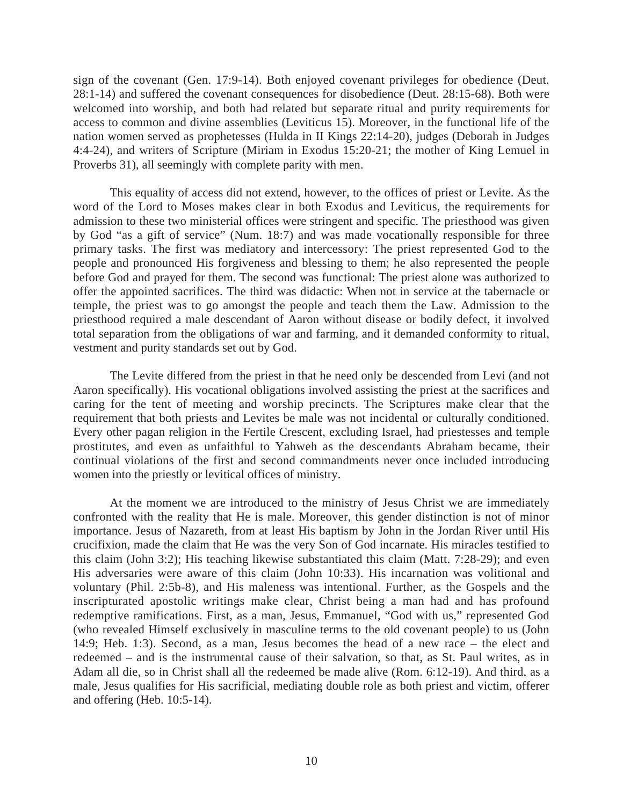sign of the covenant (Gen. 17:9-14). Both enjoyed covenant privileges for obedience (Deut. 28:1-14) and suffered the covenant consequences for disobedience (Deut. 28:15-68). Both were welcomed into worship, and both had related but separate ritual and purity requirements for access to common and divine assemblies (Leviticus 15). Moreover, in the functional life of the nation women served as prophetesses (Hulda in II Kings 22:14-20), judges (Deborah in Judges 4:4-24), and writers of Scripture (Miriam in Exodus 15:20-21; the mother of King Lemuel in Proverbs 31), all seemingly with complete parity with men.

This equality of access did not extend, however, to the offices of priest or Levite. As the word of the Lord to Moses makes clear in both Exodus and Leviticus, the requirements for admission to these two ministerial offices were stringent and specific. The priesthood was given by God "as a gift of service" (Num. 18:7) and was made vocationally responsible for three primary tasks. The first was mediatory and intercessory: The priest represented God to the people and pronounced His forgiveness and blessing to them; he also represented the people before God and prayed for them. The second was functional: The priest alone was authorized to offer the appointed sacrifices. The third was didactic: When not in service at the tabernacle or temple, the priest was to go amongst the people and teach them the Law. Admission to the priesthood required a male descendant of Aaron without disease or bodily defect, it involved total separation from the obligations of war and farming, and it demanded conformity to ritual, vestment and purity standards set out by God.

The Levite differed from the priest in that he need only be descended from Levi (and not Aaron specifically). His vocational obligations involved assisting the priest at the sacrifices and caring for the tent of meeting and worship precincts. The Scriptures make clear that the requirement that both priests and Levites be male was not incidental or culturally conditioned. Every other pagan religion in the Fertile Crescent, excluding Israel, had priestesses and temple prostitutes, and even as unfaithful to Yahweh as the descendants Abraham became, their continual violations of the first and second commandments never once included introducing women into the priestly or levitical offices of ministry.

At the moment we are introduced to the ministry of Jesus Christ we are immediately confronted with the reality that He is male. Moreover, this gender distinction is not of minor importance. Jesus of Nazareth, from at least His baptism by John in the Jordan River until His crucifixion, made the claim that He was the very Son of God incarnate. His miracles testified to this claim (John 3:2); His teaching likewise substantiated this claim (Matt. 7:28-29); and even His adversaries were aware of this claim (John 10:33). His incarnation was volitional and voluntary (Phil. 2:5b-8), and His maleness was intentional. Further, as the Gospels and the inscripturated apostolic writings make clear, Christ being a man had and has profound redemptive ramifications. First, as a man, Jesus, Emmanuel, "God with us," represented God (who revealed Himself exclusively in masculine terms to the old covenant people) to us (John 14:9; Heb. 1:3). Second, as a man, Jesus becomes the head of a new race – the elect and redeemed – and is the instrumental cause of their salvation, so that, as St. Paul writes, as in Adam all die, so in Christ shall all the redeemed be made alive (Rom. 6:12-19). And third, as a male, Jesus qualifies for His sacrificial, mediating double role as both priest and victim, offerer and offering (Heb. 10:5-14).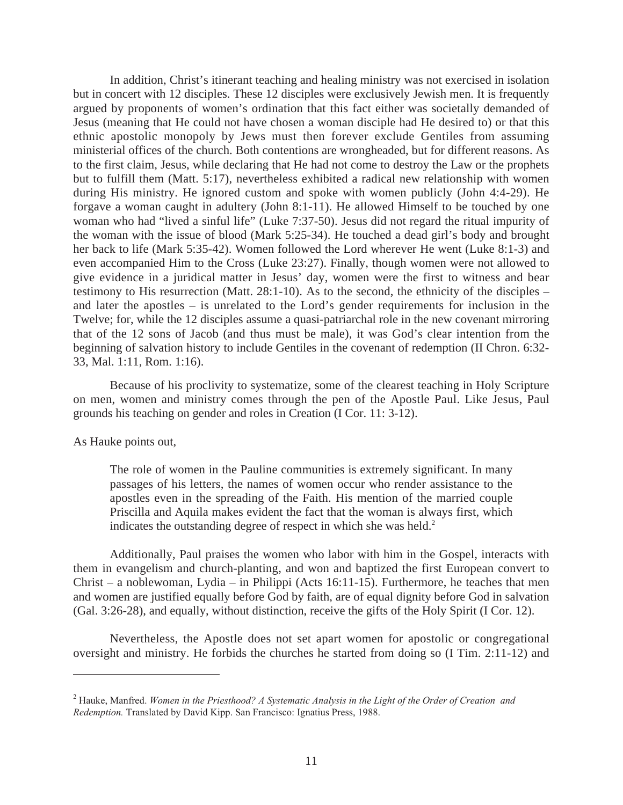In addition, Christ's itinerant teaching and healing ministry was not exercised in isolation but in concert with 12 disciples. These 12 disciples were exclusively Jewish men. It is frequently argued by proponents of women's ordination that this fact either was societally demanded of Jesus (meaning that He could not have chosen a woman disciple had He desired to) or that this ethnic apostolic monopoly by Jews must then forever exclude Gentiles from assuming ministerial offices of the church. Both contentions are wrongheaded, but for different reasons. As to the first claim, Jesus, while declaring that He had not come to destroy the Law or the prophets but to fulfill them (Matt. 5:17), nevertheless exhibited a radical new relationship with women during His ministry. He ignored custom and spoke with women publicly (John 4:4-29). He forgave a woman caught in adultery (John 8:1-11). He allowed Himself to be touched by one woman who had "lived a sinful life" (Luke 7:37-50). Jesus did not regard the ritual impurity of the woman with the issue of blood (Mark 5:25-34). He touched a dead girl's body and brought her back to life (Mark 5:35-42). Women followed the Lord wherever He went (Luke 8:1-3) and even accompanied Him to the Cross (Luke 23:27). Finally, though women were not allowed to give evidence in a juridical matter in Jesus' day, women were the first to witness and bear testimony to His resurrection (Matt. 28:1-10). As to the second, the ethnicity of the disciples – and later the apostles – is unrelated to the Lord's gender requirements for inclusion in the Twelve; for, while the 12 disciples assume a quasi-patriarchal role in the new covenant mirroring that of the 12 sons of Jacob (and thus must be male), it was God's clear intention from the beginning of salvation history to include Gentiles in the covenant of redemption (II Chron. 6:32- 33, Mal. 1:11, Rom. 1:16).

Because of his proclivity to systematize, some of the clearest teaching in Holy Scripture on men, women and ministry comes through the pen of the Apostle Paul. Like Jesus, Paul grounds his teaching on gender and roles in Creation (I Cor. 11: 3-12).

As Hauke points out,

 $\overline{a}$ 

The role of women in the Pauline communities is extremely significant. In many passages of his letters, the names of women occur who render assistance to the apostles even in the spreading of the Faith. His mention of the married couple Priscilla and Aquila makes evident the fact that the woman is always first, which indicates the outstanding degree of respect in which she was held. $2^2$ 

Additionally, Paul praises the women who labor with him in the Gospel, interacts with them in evangelism and church-planting, and won and baptized the first European convert to Christ – a noblewoman, Lydia – in Philippi (Acts 16:11-15). Furthermore, he teaches that men and women are justified equally before God by faith, are of equal dignity before God in salvation (Gal. 3:26-28), and equally, without distinction, receive the gifts of the Holy Spirit (I Cor. 12).

Nevertheless, the Apostle does not set apart women for apostolic or congregational oversight and ministry. He forbids the churches he started from doing so (I Tim. 2:11-12) and

<sup>2</sup> Hauke, Manfred. *Women in the Priesthood? A Systematic Analysis in the Light of the Order of Creation and Redemption.* Translated by David Kipp. San Francisco: Ignatius Press, 1988.